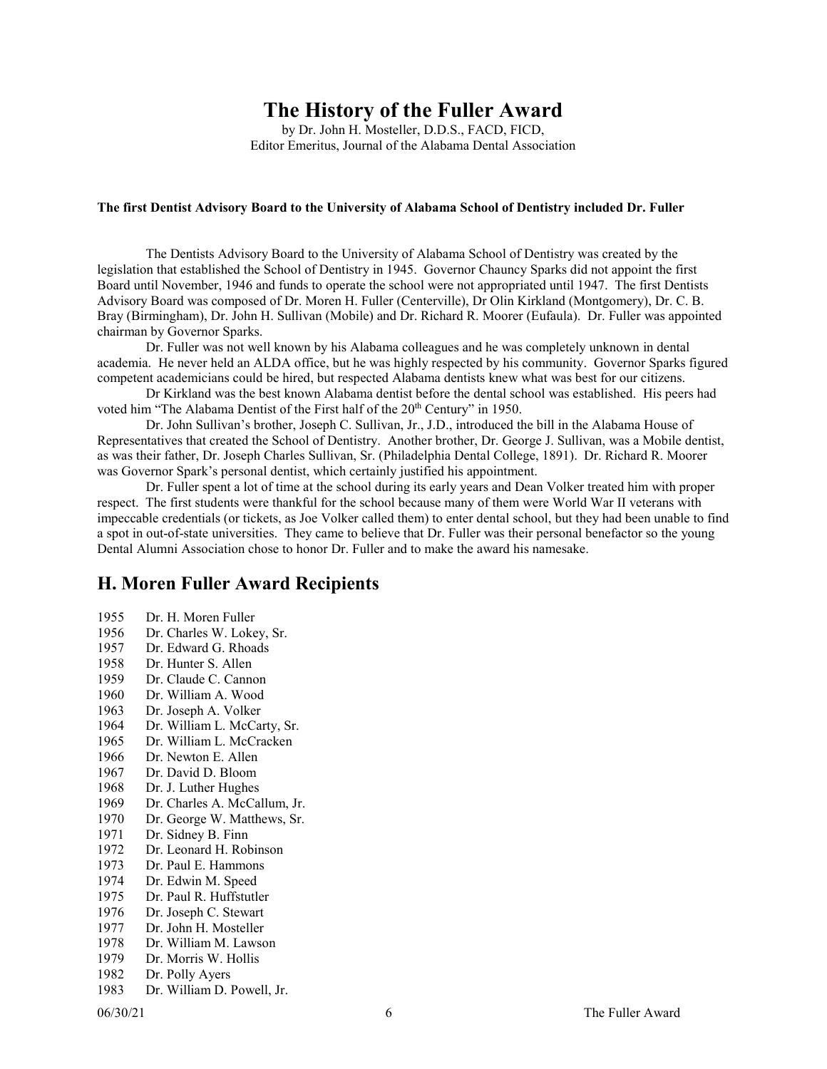## **The History of the Fuller Award**

by Dr. John H. Mosteller, D.D.S., FACD, FICD, Editor Emeritus, Journal of the Alabama Dental Association

## **The first Dentist Advisory Board to the University of Alabama School of Dentistry included Dr. Fuller**

The Dentists Advisory Board to the University of Alabama School of Dentistry was created by the legislation that established the School of Dentistry in 1945. Governor Chauncy Sparks did not appoint the first Board until November, 1946 and funds to operate the school were not appropriated until 1947. The first Dentists Advisory Board was composed of Dr. Moren H. Fuller (Centerville), Dr Olin Kirkland (Montgomery), Dr. C. B. Bray (Birmingham), Dr. John H. Sullivan (Mobile) and Dr. Richard R. Moorer (Eufaula). Dr. Fuller was appointed chairman by Governor Sparks.

Dr. Fuller was not well known by his Alabama colleagues and he was completely unknown in dental academia. He never held an ALDA office, but he was highly respected by his community. Governor Sparks figured competent academicians could be hired, but respected Alabama dentists knew what was best for our citizens.

Dr Kirkland was the best known Alabama dentist before the dental school was established. His peers had voted him "The Alabama Dentist of the First half of the 20<sup>th</sup> Century" in 1950.

Dr. John Sullivan's brother, Joseph C. Sullivan, Jr., J.D., introduced the bill in the Alabama House of Representatives that created the School of Dentistry. Another brother, Dr. George J. Sullivan, was a Mobile dentist, as was their father, Dr. Joseph Charles Sullivan, Sr. (Philadelphia Dental College, 1891). Dr. Richard R. Moorer was Governor Spark's personal dentist, which certainly justified his appointment.

Dr. Fuller spent a lot of time at the school during its early years and Dean Volker treated him with proper respect. The first students were thankful for the school because many of them were World War II veterans with impeccable credentials (or tickets, as Joe Volker called them) to enter dental school, but they had been unable to find a spot in out-of-state universities. They came to believe that Dr. Fuller was their personal benefactor so the young Dental Alumni Association chose to honor Dr. Fuller and to make the award his namesake.

## **H. Moren Fuller Award Recipients**

1955 Dr. H. Moren Fuller<br>1956 Dr. Charles W. Loke Dr. Charles W. Lokey, Sr. Dr. Edward G. Rhoads Dr. Hunter S. Allen Dr. Claude C. Cannon Dr. William A. Wood Dr. Joseph A. Volker Dr. William L. McCarty, Sr. Dr. William L. McCracken Dr. Newton E. Allen Dr. David D. Bloom Dr. J. Luther Hughes Dr. Charles A. McCallum, Jr. Dr. George W. Matthews, Sr. Dr. Sidney B. Finn Dr. Leonard H. Robinson Dr. Paul E. Hammons 1974 Dr. Edwin M. Speed<br>1975 Dr. Paul R. Huffstutle Dr. Paul R. Huffstutler Dr. Joseph C. Stewart Dr. John H. Mosteller 1978 Dr. William M. Lawson<br>1979 Dr. Morris W. Hollis Dr. Morris W. Hollis Dr. Polly Ayers Dr. William D. Powell, Jr.